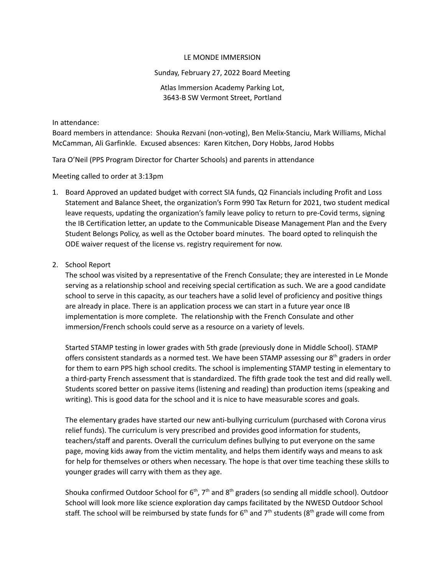## LE MONDE IMMERSION

## Sunday, February 27, 2022 Board Meeting

# Atlas Immersion Academy Parking Lot, 3643-B SW Vermont Street, Portland

In attendance:

Board members in attendance: Shouka Rezvani (non-voting), Ben Melix-Stanciu, Mark Williams, Michal McCamman, Ali Garfinkle. Excused absences: Karen Kitchen, Dory Hobbs, Jarod Hobbs

Tara O'Neil (PPS Program Director for Charter Schools) and parents in attendance

Meeting called to order at 3:13pm

1. Board Approved an updated budget with correct SIA funds, Q2 Financials including Profit and Loss Statement and Balance Sheet, the organization's Form 990 Tax Return for 2021, two student medical leave requests, updating the organization's family leave policy to return to pre-Covid terms, signing the IB Certification letter, an update to the Communicable Disease Management Plan and the Every Student Belongs Policy, as well as the October board minutes. The board opted to relinquish the ODE waiver request of the license vs. registry requirement for now.

# 2. School Report

The school was visited by a representative of the French Consulate; they are interested in Le Monde serving as a relationship school and receiving special certification as such. We are a good candidate school to serve in this capacity, as our teachers have a solid level of proficiency and positive things are already in place. There is an application process we can start in a future year once IB implementation is more complete. The relationship with the French Consulate and other immersion/French schools could serve as a resource on a variety of levels.

Started STAMP testing in lower grades with 5th grade (previously done in Middle School). STAMP offers consistent standards as a normed test. We have been STAMP assessing our 8<sup>th</sup> graders in order for them to earn PPS high school credits. The school is implementing STAMP testing in elementary to a third-party French assessment that is standardized. The fifth grade took the test and did really well. Students scored better on passive items (listening and reading) than production items (speaking and writing). This is good data for the school and it is nice to have measurable scores and goals.

The elementary grades have started our new anti-bullying curriculum (purchased with Corona virus relief funds). The curriculum is very prescribed and provides good information for students, teachers/staff and parents. Overall the curriculum defines bullying to put everyone on the same page, moving kids away from the victim mentality, and helps them identify ways and means to ask for help for themselves or others when necessary. The hope is that over time teaching these skills to younger grades will carry with them as they age.

Shouka confirmed Outdoor School for 6<sup>th</sup>, 7<sup>th</sup> and 8<sup>th</sup> graders (so sending all middle school). Outdoor School will look more like science exploration day camps facilitated by the NWESD Outdoor School staff. The school will be reimbursed by state funds for 6<sup>th</sup> and 7<sup>th</sup> students (8<sup>th</sup> grade will come from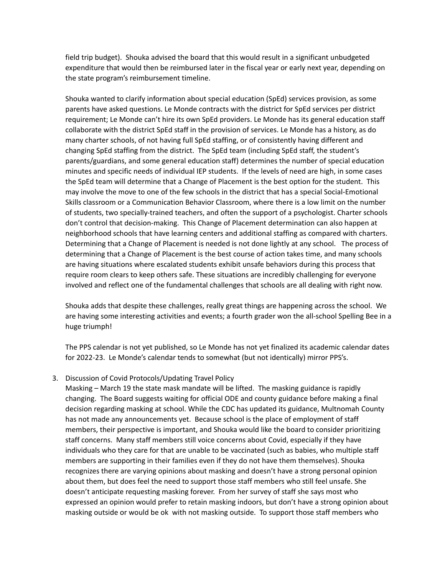field trip budget). Shouka advised the board that this would result in a significant unbudgeted expenditure that would then be reimbursed later in the fiscal year or early next year, depending on the state program's reimbursement timeline.

Shouka wanted to clarify information about special education (SpEd) services provision, as some parents have asked questions. Le Monde contracts with the district for SpEd services per district requirement; Le Monde can't hire its own SpEd providers. Le Monde has its general education staff collaborate with the district SpEd staff in the provision of services. Le Monde has a history, as do many charter schools, of not having full SpEd staffing, or of consistently having different and changing SpEd staffing from the district. The SpEd team (including SpEd staff, the student's parents/guardians, and some general education staff) determines the number of special education minutes and specific needs of individual IEP students. If the levels of need are high, in some cases the SpEd team will determine that a Change of Placement is the best option for the student. This may involve the move to one of the few schools in the district that has a special Social-Emotional Skills classroom or a Communication Behavior Classroom, where there is a low limit on the number of students, two specially-trained teachers, and often the support of a psychologist. Charter schools don't control that decision-making. This Change of Placement determination can also happen at neighborhood schools that have learning centers and additional staffing as compared with charters. Determining that a Change of Placement is needed is not done lightly at any school. The process of determining that a Change of Placement is the best course of action takes time, and many schools are having situations where escalated students exhibit unsafe behaviors during this process that require room clears to keep others safe. These situations are incredibly challenging for everyone involved and reflect one of the fundamental challenges that schools are all dealing with right now.

Shouka adds that despite these challenges, really great things are happening across the school. We are having some interesting activities and events; a fourth grader won the all-school Spelling Bee in a huge triumph!

The PPS calendar is not yet published, so Le Monde has not yet finalized its academic calendar dates for 2022-23. Le Monde's calendar tends to somewhat (but not identically) mirror PPS's.

# 3. Discussion of Covid Protocols/Updating Travel Policy

Masking – March 19 the state mask mandate will be lifted. The masking guidance is rapidly changing. The Board suggests waiting for official ODE and county guidance before making a final decision regarding masking at school. While the CDC has updated its guidance, Multnomah County has not made any announcements yet. Because school is the place of employment of staff members, their perspective is important, and Shouka would like the board to consider prioritizing staff concerns. Many staff members still voice concerns about Covid, especially if they have individuals who they care for that are unable to be vaccinated (such as babies, who multiple staff members are supporting in their families even if they do not have them themselves). Shouka recognizes there are varying opinions about masking and doesn't have a strong personal opinion about them, but does feel the need to support those staff members who still feel unsafe. She doesn't anticipate requesting masking forever. From her survey of staff she says most who expressed an opinion would prefer to retain masking indoors, but don't have a strong opinion about masking outside or would be ok with not masking outside. To support those staff members who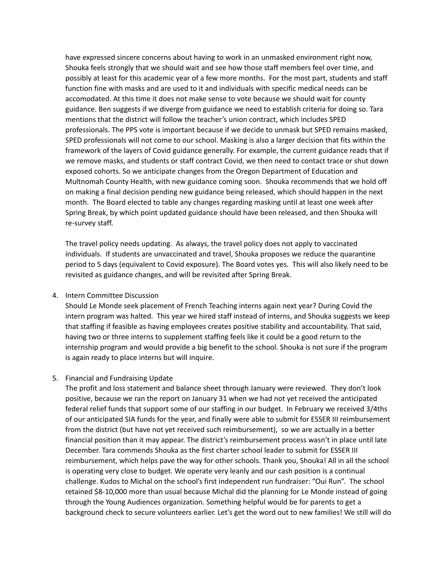have expressed sincere concerns about having to work in an unmasked environment right now, Shouka feels strongly that we should wait and see how those staff members feel over time, and possibly at least for this academic year of a few more months. For the most part, students and staff function fine with masks and are used to it and individuals with specific medical needs can be accomodated. At this time it does not make sense to vote because we should wait for county guidance. Ben suggests if we diverge from guidance we need to establish criteria for doing so. Tara mentions that the district will follow the teacher's union contract, which includes SPED professionals. The PPS vote is important because if we decide to unmask but SPED remains masked, SPED professionals will not come to our school. Masking is also a larger decision that fits within the framework of the layers of Covid guidance generally. For example, the current guidance reads that if we remove masks, and students or staff contract Covid, we then need to contact trace or shut down exposed cohorts. So we anticipate changes from the Oregon Department of Education and Multnomah County Health, with new guidance coming soon. Shouka recommends that we hold off on making a final decision pending new guidance being released, which should happen in the next month. The Board elected to table any changes regarding masking until at least one week after Spring Break, by which point updated guidance should have been released, and then Shouka will re-survey staff.

The travel policy needs updating. As always, the travel policy does not apply to vaccinated individuals. If students are unvaccinated and travel, Shouka proposes we reduce the quarantine period to 5 days (equivalent to Covid exposure). The Board votes yes. This will also likely need to be revisited as guidance changes, and will be revisited after Spring Break.

#### 4. Intern Committee Discussion

Should Le Monde seek placement of French Teaching interns again next year? During Covid the intern program was halted. This year we hired staff instead of interns, and Shouka suggests we keep that staffing if feasible as having employees creates positive stability and accountability. That said, having two or three interns to supplement staffing feels like it could be a good return to the internship program and would provide a big benefit to the school. Shouka is not sure if the program is again ready to place interns but will inquire.

#### 5. Financial and Fundraising Update

The profit and loss statement and balance sheet through January were reviewed. They don't look positive, because we ran the report on January 31 when we had not yet received the anticipated federal relief funds that support some of our staffing in our budget. In February we received 3/4ths of our anticipated SIA funds for the year, and finally were able to submit for ESSER III reimbursement from the district (but have not yet received such reimbursement), so we are actually in a better financial position than it may appear. The district's reimbursement process wasn't in place until late December. Tara commends Shouka as the first charter school leader to submit for ESSER III reimbursement, which helps pave the way for other schools. Thank you, Shouka! All in all the school is operating very close to budget. We operate very leanly and our cash position is a continual challenge. Kudos to Michal on the school's first independent run fundraiser: "Oui Run". The school retained \$8-10,000 more than usual because Michal did the planning for Le Monde instead of going through the Young Audiences organization. Something helpful would be for parents to get a background check to secure volunteers earlier. Let's get the word out to new families! We still will do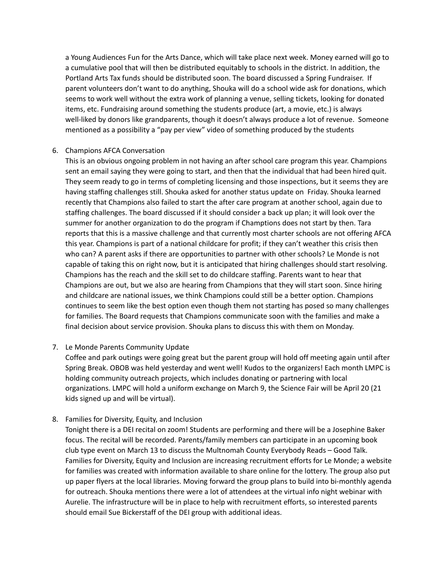a Young Audiences Fun for the Arts Dance, which will take place next week. Money earned will go to a cumulative pool that will then be distributed equitably to schools in the district. In addition, the Portland Arts Tax funds should be distributed soon. The board discussed a Spring Fundraiser. If parent volunteers don't want to do anything, Shouka will do a school wide ask for donations, which seems to work well without the extra work of planning a venue, selling tickets, looking for donated items, etc. Fundraising around something the students produce (art, a movie, etc.) is always well-liked by donors like grandparents, though it doesn't always produce a lot of revenue. Someone mentioned as a possibility a "pay per view" video of something produced by the students

## 6. Champions AFCA Conversation

This is an obvious ongoing problem in not having an after school care program this year. Champions sent an email saying they were going to start, and then that the individual that had been hired quit. They seem ready to go in terms of completing licensing and those inspections, but it seems they are having staffing challenges still. Shouka asked for another status update on Friday. Shouka learned recently that Champions also failed to start the after care program at another school, again due to staffing challenges. The board discussed if it should consider a back up plan; it will look over the summer for another organization to do the program if Champtions does not start by then. Tara reports that this is a massive challenge and that currently most charter schools are not offering AFCA this year. Champions is part of a national childcare for profit; if they can't weather this crisis then who can? A parent asks if there are opportunities to partner with other schools? Le Monde is not capable of taking this on right now, but it is anticipated that hiring challenges should start resolving. Champions has the reach and the skill set to do childcare staffing. Parents want to hear that Champions are out, but we also are hearing from Champions that they will start soon. Since hiring and childcare are national issues, we think Champions could still be a better option. Champions continues to seem like the best option even though them not starting has posed so many challenges for families. The Board requests that Champions communicate soon with the families and make a final decision about service provision. Shouka plans to discuss this with them on Monday.

# 7. Le Monde Parents Community Update

Coffee and park outings were going great but the parent group will hold off meeting again until after Spring Break. OBOB was held yesterday and went well! Kudos to the organizers! Each month LMPC is holding community outreach projects, which includes donating or partnering with local organizations. LMPC will hold a uniform exchange on March 9, the Science Fair will be April 20 (21 kids signed up and will be virtual).

# 8. Families for Diversity, Equity, and Inclusion

Tonight there is a DEI recital on zoom! Students are performing and there will be a Josephine Baker focus. The recital will be recorded. Parents/family members can participate in an upcoming book club type event on March 13 to discuss the Multnomah County Everybody Reads – Good Talk. Families for Diversity, Equity and Inclusion are increasing recruitment efforts for Le Monde; a website for families was created with information available to share online for the lottery. The group also put up paper flyers at the local libraries. Moving forward the group plans to build into bi-monthly agenda for outreach. Shouka mentions there were a lot of attendees at the virtual info night webinar with Aurelie. The infrastructure will be in place to help with recruitment efforts, so interested parents should email Sue Bickerstaff of the DEI group with additional ideas.